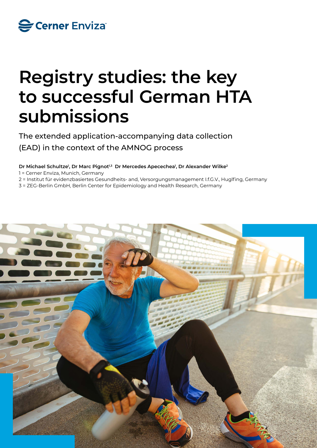

# **Registry studies: the key to successful German HTA submissions**

The extended application-accompanying data collection (EAD) in the context of the AMNOG process

Dr Michael Schultze<sup>ı</sup>, Dr Marc Pignot<sup>ı,3</sup> Dr Mercedes Apecechea<sup>ı</sup>, Dr Alexander Wilke<sup>2</sup>

1 = Cerner Enviza, Munich, Germany

2 = Institut für evidenzbasiertes Gesundheits- and, Versorgungsmanagement I.f.G.V., Huglfing, Germany

3 = ZEG-Berlin GmbH, Berlin Center for Epidemiology and Health Research, Germany

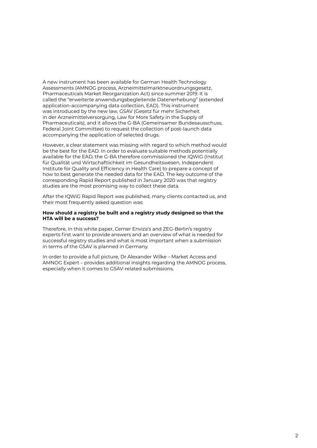A new instrument has been available for German Health Technology Assessments (AMNOG process, Arzneimittelmarktneuordnungsgesetz, Pharmaceuticals Market Reorganization Act) since summer 2019. It is called the "erweiterte anwendungsbegleitende Datenerhebung" (extended application-accompanying data collection, EAD). This instrument was introduced by the new law, GSAV (Gesetz für mehr Sicherheit in der Arzneimittelversorgung, Law for More Safety in the Supply of Pharmaceuticals), and it allows the G-BA (Gemeinsamer Bundesausschuss, Federal Joint Committee) to request the collection of post-launch data accompanying the application of selected drugs.

However, a clear statement was missing with regard to which method would be the best for the EAD. In order to evaluate suitable methods potentially available for the EAD, the G-BA therefore commissioned the IQWiG (Institut für Qualität und Wirtschaftlichkeit im Gesundheitswesen, Independent Institute for Quality and Efficiency in Health Care) to prepare a concept of how to best generate the needed data for the EAD. The key outcome of the corresponding Rapid Report published in January 2020 was that registry studies are the most promising way to collect these data.

After the IQWiG Rapid Report was published, many clients contacted us, and their most frequently asked question was:

## **How should a registry be built and a registry study designed so that the HTA will be a success?**

Therefore, in this white paper, Cerner Enviza's and ZEG-Berlin's registry experts first want to provide answers and an overview of what is needed for successful registry studies and what is most important when a submission in terms of the GSAV is planned in Germany.

In order to provide a full picture, Dr Alexander Wilke – Market Access and AMNOG Expert – provides additional insights regarding the AMNOG process, especially when it comes to GSAV-related submissions.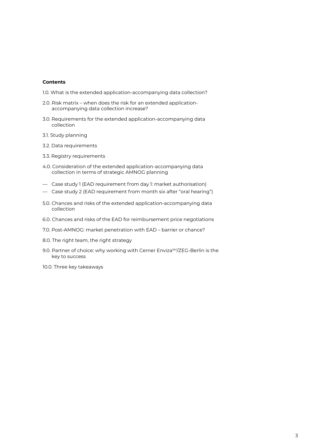## **Contents**

- 1.0. What is the extended application-accompanying data collection?
- 2.0. Risk matrix when does the risk for an extended applicationaccompanying data collection increase?
- 3.0. Requirements for the extended application-accompanying data collection
- 3.1. Study planning
- 3.2. Data requirements
- 3.3. Registry requirements
- 4.0. Consideration of the extended application-accompanying data collection in terms of strategic AMNOG planning
- Case study 1 (EAD requirement from day 1: market authorisation)
- Case study 2 (EAD requirement from month six after "oral hearing")
- 5.0. Chances and risks of the extended application-accompanying data collection
- 6.0. Chances and risks of the EAD for reimbursement price negotiations
- 7.0. Post-AMNOG: market penetration with EAD barrier or chance?
- 8.0. The right team, the right strategy
- 9.0. Partner of choice: why working with Cerner Enviza<sup>SM</sup>/ZEG-Berlin is the key to success
- 10.0. Three key takeaways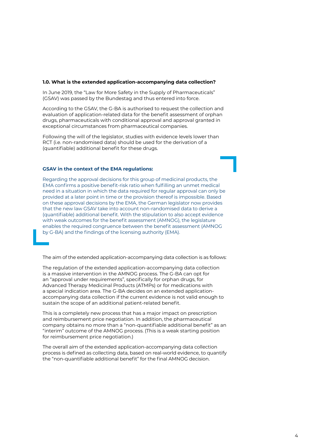## **1.0. What is the extended application-accompanying data collection?**

In June 2019, the "Law for More Safety in the Supply of Pharmaceuticals" (GSAV) was passed by the Bundestag and thus entered into force.

According to the GSAV, the G-BA is authorised to request the collection and evaluation of application-related data for the benefit assessment of orphan drugs, pharmaceuticals with conditional approval and approval granted in exceptional circumstances from pharmaceutical companies.

Following the will of the legislator, studies with evidence levels lower than RCT (i.e. non-randomised data) should be used for the derivation of a (quantifiable) additional benefit for these drugs.

## **GSAV in the context of the EMA regulations:**

Regarding the approval decisions for this group of medicinal products, the EMA confirms a positive benefit-risk ratio when fulfilling an unmet medical need in a situation in which the data required for regular approval can only be provided at a later point in time or the provision thereof is impossible. Based on these approval decisions by the EMA, the German legislator now provides that the new law GSAV take into account non-randomised data to derive a (quantifiable) additional benefit. With the stipulation to also accept evidence with weak outcomes for the benefit assessment (AMNOG), the legislature enables the required congruence between the benefit assessment (AMNOG by G-BA) and the findings of the licensing authority (EMA).

The aim of the extended application-accompanying data collection is as follows:

The regulation of the extended application-accompanying data collection is a massive intervention in the AMNOG process. The G-BA can opt for an "approval under requirements", specifically for orphan drugs, for Advanced Therapy Medicinal Products (ATMPs) or for medications with a special indication area. The G-BA decides on an extended applicationaccompanying data collection if the current evidence is not valid enough to sustain the scope of an additional patient-related benefit.

This is a completely new process that has a major impact on prescription and reimbursement price negotiation. In addition, the pharmaceutical company obtains no more than a "non-quantifiable additional benefit" as an "interim" outcome of the AMNOG process. (This is a weak starting position for reimbursement price negotiation.)

The overall aim of the extended application-accompanying data collection process is defined as collecting data, based on real-world evidence, to quantify the "non-quantifiable additional benefit" for the final AMNOG decision.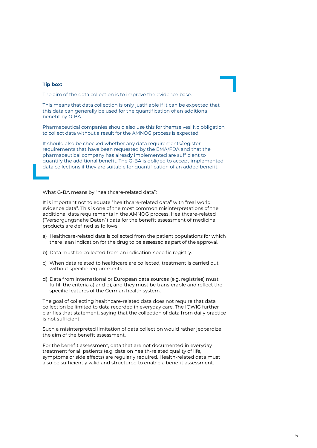## **Tip box:**

The aim of the data collection is to improve the evidence base.

This means that data collection is only justifiable if it can be expected that this data can generally be used for the quantification of an additional benefit by G-BA.

Pharmaceutical companies should also use this for themselves! No obligation to collect data without a result for the AMNOG process is expected.

It should also be checked whether any data requirements/register requirements that have been requested by the EMA/FDA and that the pharmaceutical company has already implemented are sufficient to quantify the additional benefit. The G-BA is obliged to accept implemented data collections if they are suitable for quantification of an added benefit.

What G-BA means by "healthcare-related data":

It is important not to equate "healthcare-related data" with "real world evidence data". This is one of the most common misinterpretations of the additional data requirements in the AMNOG process. Healthcare-related ("Versorgungsnahe Daten") data for the benefit assessment of medicinal products are defined as follows:

- a) Healthcare-related data is collected from the patient populations for which there is an indication for the drug to be assessed as part of the approval.
- b) Data must be collected from an indication-specific registry.
- c) When data related to healthcare are collected, treatment is carried out without specific requirements.
- d) Data from international or European data sources (e.g. registries) must fulfill the criteria a) and b), and they must be transferable and reflect the specific features of the German health system.

The goal of collecting healthcare-related data does not require that data collection be limited to data recorded in everyday care. The IQWIG further clarifies that statement, saying that the collection of data from daily practice is not sufficient.

Such a misinterpreted limitation of data collection would rather jeopardize the aim of the benefit assessment.

For the benefit assessment, data that are not documented in everyday treatment for all patients (e.g. data on health-related quality of life, symptoms or side effects) are regularly required. Health-related data must also be sufficiently valid and structured to enable a benefit assessment.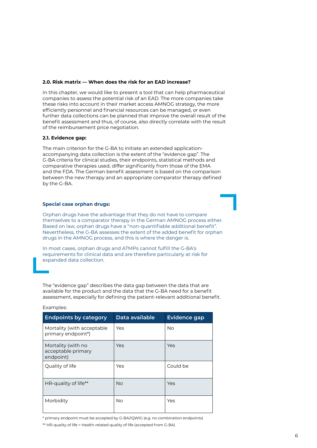## **2.0. Risk matrix — When does the risk for an EAD increase?**

In this chapter, we would like to present a tool that can help pharmaceutical companies to assess the potential risk of an EAD. The more companies take these risks into account in their market access AMNOG strategy, the more efficiently personnel and financial resources can be managed, or even further data collections can be planned that improve the overall result of the benefit assessment and thus, of course, also directly correlate with the result of the reimbursement price negotiation.

## **2.1. Evidence gap:**

The main criterion for the G-BA to initiate an extended applicationaccompanying data collection is the extent of the "evidence gap". The G-BA criteria for clinical studies, their endpoints, statistical methods and comparative therapies used, differ significantly from those of the EMA and the FDA. The German benefit assessment is based on the comparison between the new therapy and an appropriate comparator therapy defined by the G-BA.

## **Special case orphan drugs:**

Orphan drugs have the advantage that they do not have to compare themselves to a comparator therapy in the German AMNOG process either. Based on law, orphan drugs have a "non-quantifiable additional benefit". Nevertheless, the G-BA assesses the extent of the added benefit for orphan drugs in the AMNOG process, and this is where the danger is.

In most cases, orphan drugs and ATMPs cannot fulfill the G-BA's requirements for clinical data and are therefore particularly at risk for expanded data collection.

The "evidence gap" describes the data gap between the data that are available for the product and the data that the G-BA need for a benefit assessment, especially for defining the patient-relevant additional benefit.

| <b>Endpoints by category</b>                          | Data available | <b>Evidence gap</b> |
|-------------------------------------------------------|----------------|---------------------|
| Mortality (with acceptable<br>primary endpoint*)      | Yes            | No.                 |
| Mortality (with no<br>acceptable primary<br>endpoint) | Yes            | Yes                 |
| Quality of life                                       | Yes            | Could be            |
| HR-quality of life <sup>**</sup>                      | <b>No</b>      | Yes                 |
| Morbidity                                             | <b>No</b>      | Yes                 |

# Examples:

\* primary endpoint must be accepted by G-BA/IQWIG (e.g. no combination endpoints)

<sup>\*\*</sup> HR-quality of life = Health-related quality of life (accepted from G-BA)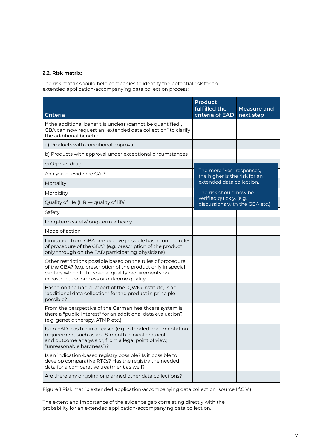# **2.2. Risk matrix:**

The risk matrix should help companies to identify the potential risk for an extended application-accompanying data collection process:

| <b>Criteria</b>                                                                                                                                                                                                                     | <b>Product</b><br>fulfilled the<br>criteria of EAD         | Measure and<br>next step |
|-------------------------------------------------------------------------------------------------------------------------------------------------------------------------------------------------------------------------------------|------------------------------------------------------------|--------------------------|
| If the additional benefit is unclear (cannot be quantified),<br>GBA can now request an "extended data collection" to clarify<br>the additional benefit:                                                                             |                                                            |                          |
| a) Products with conditional approval                                                                                                                                                                                               |                                                            |                          |
| b) Products with approval under exceptional circumstances                                                                                                                                                                           |                                                            |                          |
| c) Orphan drug                                                                                                                                                                                                                      |                                                            |                          |
| Analysis of evidence GAP:                                                                                                                                                                                                           | The more "yes" responses,<br>the higher is the risk for an |                          |
| Mortality                                                                                                                                                                                                                           | extended data collection.                                  |                          |
| Morbidity                                                                                                                                                                                                                           | The risk should now be                                     |                          |
| Quality of life (HR - quality of life)                                                                                                                                                                                              | verified quickly. (e.g.<br>discussions with the GBA etc.)  |                          |
| Safety                                                                                                                                                                                                                              |                                                            |                          |
| Long-term safety/long-term efficacy                                                                                                                                                                                                 |                                                            |                          |
| Mode of action                                                                                                                                                                                                                      |                                                            |                          |
| Limitation from GBA perspective possible based on the rules<br>of procedure of the GBA? (e.g. prescription of the product<br>only through on the EAD participating physicians)                                                      |                                                            |                          |
| Other restrictions possible based on the rules of procedure<br>of the GBA? (e.g. prescription of the product only in special<br>centers which fulfill special quality requirements on<br>infrastructure, process or outcome quality |                                                            |                          |
| Based on the Rapid Report of the IQWIG institute, is an<br>"additional data collection" for the product in principle<br>possible?                                                                                                   |                                                            |                          |
| From the perspective of the German healthcare system is<br>there a "public interest" for an additional data evaluation?<br>(e.g. genetic therapy, ATMP etc.)                                                                        |                                                            |                          |
| Is an EAD feasible in all cases (e.g. extended documentation<br>requirement such as an 18-month clinical protocol<br>and outcome analysis or, from a legal point of view,<br>"unreasonable hardness")?                              |                                                            |                          |
| Is an indication-based registry possible? Is it possible to<br>develop comparative RTCs? Has the registry the needed<br>data for a comparative treatment as well?                                                                   |                                                            |                          |
| Are there any ongoing or planned other data collections?                                                                                                                                                                            |                                                            |                          |

Figure 1 Risk matrix extended application-accompanying data collection (source I.f.G.V.)

The extent and importance of the evidence gap correlating directly with the probability for an extended application-accompanying data collection.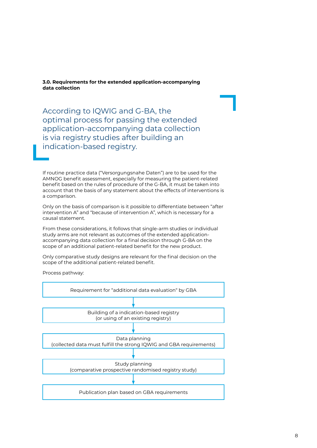**3.0. Requirements for the extended application-accompanying data collection**

According to IQWIG and G-BA, the optimal process for passing the extended application-accompanying data collection is via registry studies after building an indication-based registry.

If routine practice data ("Versorgungsnahe Daten") are to be used for the AMNOG benefit assessment, especially for measuring the patient-related benefit based on the rules of procedure of the G-BA, it must be taken into account that the basis of any statement about the effects of interventions is a comparison.

Only on the basis of comparison is it possible to differentiate between "after intervention A" and "because of intervention A", which is necessary for a causal statement.

From these considerations, it follows that single-arm studies or individual study arms are not relevant as outcomes of the extended applicationaccompanying data collection for a final decision through G-BA on the scope of an additional patient-related benefit for the new product.

Only comparative study designs are relevant for the final decision on the scope of the additional patient-related benefit.

Process pathway:

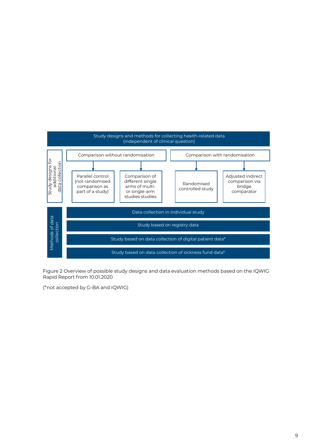

Figure 2 Overview of possible study designs and data evaluation methods based on the IQWIG Rapid Report from 10.01.2020

(\*not accepted by G-BA and IQWIG)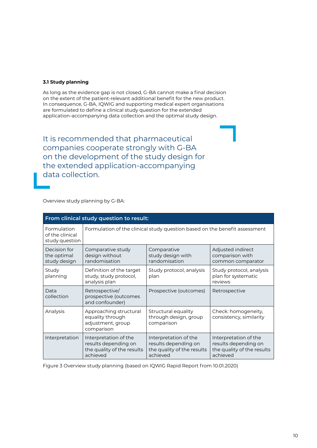# **3.1 Study planning**

As long as the evidence gap is not closed, G-BA cannot make a final decision on the extent of the patient-relevant additional benefit for the new product. In consequence, G-BA, IQWIG and supporting medical expert organisations are formulated to define a clinical study question for the extended application-accompanying data collection and the optimal study design.

It is recommended that pharmaceutical companies cooperate strongly with G-BA on the development of the study design for the extended application-accompanying data collection.

Overview study planning by G-BA:

| From clinical study question to result:          |                                                                                         |                                                                                         |                                                                                         |
|--------------------------------------------------|-----------------------------------------------------------------------------------------|-----------------------------------------------------------------------------------------|-----------------------------------------------------------------------------------------|
| Formulation<br>of the clinical<br>study question | Formulation of the clinical study question based on the benefit assessment              |                                                                                         |                                                                                         |
| Decision for<br>the optimal<br>study design      | Comparative study<br>design without<br>randomisation                                    | Comparative<br>study design with<br>randomisation                                       | Adjusted indirect<br>comparison with<br>common comparator                               |
| Study<br>planning                                | Definition of the target<br>study, study protocol,<br>analysis plan                     | Study protocol, analysis<br>plan                                                        | Study protocol, analysis<br>plan for systematic<br>reviews                              |
| Data<br>collection                               | Retrospective/<br>prospective (outcomes<br>and confounder)                              | Prospective (outcomes)                                                                  | Retrospective                                                                           |
| Analysis                                         | Approaching structural<br>equality through<br>adjustment, group<br>comparison           | Structural equality<br>through design, group<br>comparison                              | Check: homogeneity,<br>consistency, similarity                                          |
| Interpretation                                   | Interpretation of the<br>results depending on<br>the quality of the results<br>achieved | Interpretation of the<br>results depending on<br>the quality of the results<br>achieved | Interpretation of the<br>results depending on<br>the quality of the results<br>achieved |

Figure 3 Overview study planning (based on IQWIG Rapid Report from 10.01.2020)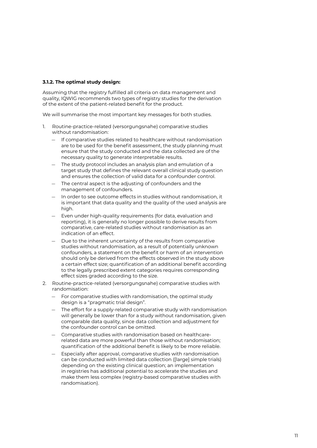## **3.1.2. The optimal study design:**

Assuming that the registry fulfilled all criteria on data management and quality, IQWIG recommends two types of registry studies for the derivation of the extent of the patient-related benefit for the product.

We will summarise the most important key messages for both studies.

- 1. Routine-practice-related (versorgungsnahe) comparative studies without randomisation:
	- If comparative studies related to healthcare without randomisation are to be used for the benefit assessment, the study planning must ensure that the study conducted and the data collected are of the necessary quality to generate interpretable results.
	- The study protocol includes an analysis plan and emulation of a target study that defines the relevant overall clinical study question and ensures the collection of valid data for a confounder control.
	- The central aspect is the adjusting of confounders and the management of confounders.
	- In order to see outcome effects in studies without randomisation, it is important that data quality and the quality of the used analysis are high.
	- Even under high-quality requirements (for data, evaluation and reporting), it is generally no longer possible to derive results from comparative, care-related studies without randomisation as an indication of an effect.
	- Due to the inherent uncertainty of the results from comparative studies without randomisation, as a result of potentially unknown confounders, a statement on the benefit or harm of an intervention should only be derived from the effects observed in the study above a certain effect size; quantification of an additional benefit according to the legally prescribed extent categories requires corresponding effect sizes graded according to the size.
- 2. Routine-practice-related (versorgungsnahe) comparative studies with randomisation:
	- For comparative studies with randomisation, the optimal study design is a "pragmatic trial design".
	- The effort for a supply-related comparative study with randomisation will generally be lower than for a study without randomisation, given comparable data quality, since data collection and adjustment for the confounder control can be omitted.
	- Comparative studies with randomisation based on healthcarerelated data are more powerful than those without randomisation; quantification of the additional benefit is likely to be more reliable.
	- Especially after approval, comparative studies with randomisation can be conducted with limited data collection ([large] simple trials) depending on the existing clinical question; an implementation in registries has additional potential to accelerate the studies and make them less complex (registry-based comparative studies with randomisation).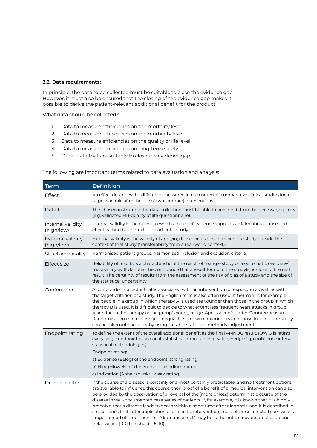# **3.2. Data requirements:**

In principle, the data to be collected must be suitable to close the evidence gap. However, it must also be ensured that the closing of the evidence gap makes it possible to derive the patient-relevant additional benefit for the product.

What data should be collected?

- 1. Data to measure efficiencies on the mortality level
- 2. Data to measure efficiencies on the morbidity level
- 3. Data to measure efficiencies on the quality of life level
- 4. Data to measure efficiencies on long-term safety
- 5. Other data that are suitable to close the evidence gap

**Term Definition** Effect An effect describes the difference measured in the context of comparative clinical studies for a target variable after the use of two (or more) interventions. Data tool The chosen instrument for data collection must be able to provide data in the necessary quality (e.g. validated HR-quality of life questionnaire). Internal validity (high/low) Internal validity is the extent to which a piece of evidence supports a claim about cause and effect within the context of a particular study. External validity (high/low) External validity is the validity of applying the conclusions of a scientific study outside the context of that study (transferability from a real-world context). Structure equality Harmonised patient groups, harmonised inclusion and exclusion criteria. Effect size  $\vert$  Reliability of results is a characteristic of the result of a single study or a systematic overview/ meta-analysis. It denotes the confidence that a result found in the study(s) is close to the real result. The certainty of results from the assessment of the risk of bias of a study and the size of the statistical uncertainty. Confounder  $\vert A$  confounder is a factor that is associated with an intervention (or exposure) as well as with the target criterion of a study. The English term is also often used in German. If, for example, the people in a group in which therapy A is used are younger than those in the group in which therapy B is used, it is difficult to decide to what extent less frequent heart attacks in group A are due to the therapy or the group's younger age. Age is a confounder. Countermeasure: Randomisation minimises such inequalities; known confounders and those found in the study can be taken into account by using suitable statistical methods (adjustment). Endpoint rating  $\vert$  To define the extent of the overall additional benefit as the final AMNOG result, IQWIG is rating every single endpoint based on its statistical importance (p-value; Hedges' g, confidence interval, statistical methodologies). Endpoint rating: a) Evidence (Beleg) of the endpoint: strong rating b) Hint (Hinweis) of the endpoint: medium rating c) Indication (Anhaltspunkt): weak rating Dramatic effect If the course of a disease is certainly or almost certainly predictable, and no treatment options are available to influence this course, then proof of a benefit of a medical intervention can also be provided by the observation of a reversal of the (more or less) deterministic course of the disease in well-documented case series of patients. If, for example, it is known that it is highly probable that a disease leads to death within a short time after diagnosis, and it is described in a case series that, after application of a specific intervention, most of those affected survive for a longer period of time, then this "dramatic effect" may be sufficient to provide proof of a benefit (relative risk [RR] threshold = 5–10).

The following are important terms related to data evaluation and analysis: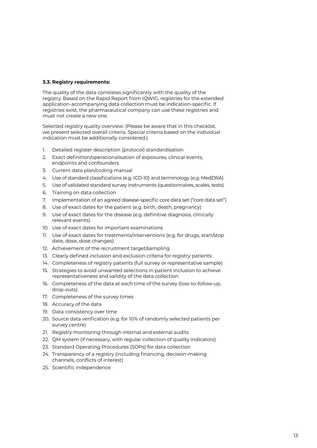# **3.3. Registry requirements:**

The quality of the data correlates significantly with the quality of the registry. Based on the Rapid Report from IQWIG, registries for the extended application-accompanying data collection must be indication-specific. If registries exist, the pharmaceutical company can use these registries and must not create a new one.

Selected registry quality overview: (Please be aware that in this checklist, we present selected overall criteria. Special criteria based on the individual indication must be additionally considered.)

- 1. Detailed register description (protocol) standardisation
- 2. Exact definition/operationalisation of exposures, clinical events, endpoints and confounders
- 3. Current data plan/coding manual
- 4. Use of standard classifications (e.g. ICD-10) and terminology (e.g. MedDRA)
- 5. Use of validated standard survey instruments (questionnaires, scales, tests)
- 6. Training on data collection
- 7. Implementation of an agreed disease-specific core data set ("core data set")
- 8. Use of exact dates for the patient (e.g. birth, death, pregnancy)
- 9. Use of exact dates for the disease (e.g. definitive diagnosis, clinically relevant events)
- 10. Use of exact dates for important examinations
- 11. Use of exact dates for treatments/interventions (e.g. for drugs, start/stop date, dose, dose changes)
- 12. Achievement of the recruitment target/sampling
- 13. Clearly defined inclusion and exclusion criteria for registry patients
- 14. Completeness of registry patients (full survey or representative sample)
- 15. Strategies to avoid unwanted selections in patient inclusion to achieve representativeness and validity of the data collection
- 16. Completeness of the data at each time of the survey (loss-to-follow-up, drop-outs)
- 17. Completeness of the survey times
- 18. Accuracy of the data
- 19. Data consistency over time
- 20. Source data verification (e.g. for 10% of randomly selected patients per survey centre)
- 21. Registry monitoring through internal and external audits
- 22. QM system (if necessary, with regular collection of quality indicators)
- 23. Standard Operating Procedures (SOPs) for data collection
- 24. Transparency of a registry (including financing, decision-making channels, conflicts of interest)
- 25. Scientific independence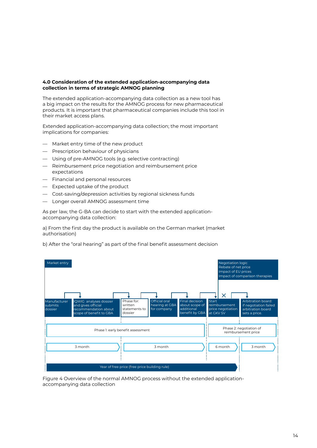# **4.0 Consideration of the extended application-accompanying data collection in terms of strategic AMNOG planning**

The extended application-accompanying data collection as a new tool has a big impact on the results for the AMNOG process for new pharmaceutical products. It is important that pharmaceutical companies include this tool in their market access plans.

Extended application-accompanying data collection; the most important implications for companies:

- Market entry time of the new product
- Prescription behaviour of physicians
- Using of pre-AMNOG tools (e.g. selective contracting)
- Reimbursement price negotiation and reimbursement price expectations
- Financial and personal resources
- Expected uptake of the product
- Cost-saving/depression activities by regional sickness funds
- Longer overall AMNOG assessment time

As per law, the G-BA can decide to start with the extended applicationaccompanying data collection:

a) From the first day the product is available on the German market (market authorisation)

b) After the "oral hearing" as part of the final benefit assessment decision



Figure 4 Overview of the normal AMNOG process without the extended applicationaccompanying data collection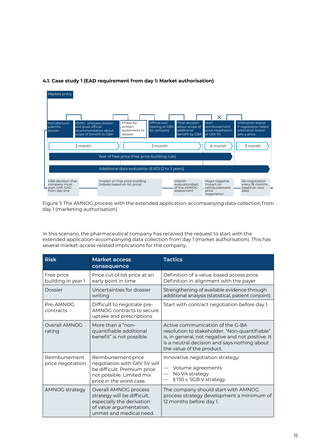

# **4.1. Case study 1 (EAD requirement from day 1: Market authorisation)**

Figure 5 The AMNOG process with the extended application-accompanying data collection from day 1 (marketing authorisation)

In this scenario, the pharmaceutical company has received the request to start with the extended application-accompanying data collection from day 1 (market authorisation). This has several market-access-related implications for the company.

| <b>Risk</b>                        | <b>Market access</b><br>consequence                                                                                                         | <b>Tactics</b>                                                                                                                                                                                                      |
|------------------------------------|---------------------------------------------------------------------------------------------------------------------------------------------|---------------------------------------------------------------------------------------------------------------------------------------------------------------------------------------------------------------------|
| Free price<br>building in year 1   | Price cut of list price at an<br>early point in time                                                                                        | Definition of a value-based access price<br>Definition in alignment with the payer                                                                                                                                  |
| Dossier                            | Uncertainties for dossier<br>writing                                                                                                        | Strengthening of available evidence through<br>additional analysis (statistical, patient conjoint)                                                                                                                  |
| Pre-AMNOG<br>contracts             | Difficult to negotiate pre-<br>AMNOG contracts to secure<br>uptake and prescriptions                                                        | Start with contract negotiation before day 1.                                                                                                                                                                       |
| Overall AMNOG<br>rating            | More than a "non-<br>quantifiable additional<br>benefit" is not possible.                                                                   | Active communication of the G-BA<br>resolution to stakeholder. "Non-quantifiable"<br>is, in general, not negative and not positive. It<br>is a neutral decision and says nothing about<br>the value of the product. |
| Reimbursement<br>price negotiation | Reimbursement price<br>negotiation with GKV SV will<br>be difficult. Premium price<br>not possible. Limited mix<br>price in the worst case. | Innovative negotiation strategy:<br>Volume agreements<br>No VA strategy<br>§ 130 c SGB V strategy                                                                                                                   |
| <b>AMNOG strategy</b>              | Overall AMNOG process<br>strategy will be difficult,<br>especially the derivation<br>of value argumentation,<br>unmet and medical need.     | The company should start with AMNOG<br>process strategy development a minimum of<br>12 months before day 1.                                                                                                         |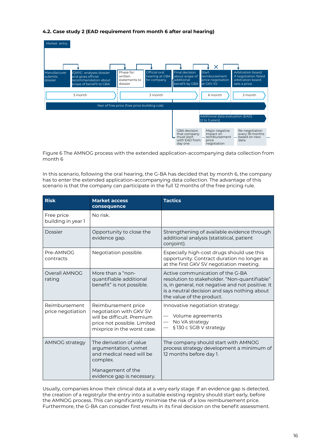# **4.2. Case study 2 (EAD requirement from month 6 after oral hearing)**

| Market entry                       |                                                                                                 |                                                   |                                                       |                                                                        |                                                                        |                                                                                   |
|------------------------------------|-------------------------------------------------------------------------------------------------|---------------------------------------------------|-------------------------------------------------------|------------------------------------------------------------------------|------------------------------------------------------------------------|-----------------------------------------------------------------------------------|
|                                    |                                                                                                 |                                                   |                                                       |                                                                        |                                                                        |                                                                                   |
|                                    |                                                                                                 |                                                   |                                                       |                                                                        | X                                                                      |                                                                                   |
| Manufacturer<br>submits<br>dossier | IQWIG analyses dossier<br>and gives official<br>recommendation about<br>scope of benefit to GBA | Phase for:<br>written<br>statements to<br>dossier | <b>Official oral</b><br>hearing at GBA<br>for company | Final decision<br>about scope of<br>additional<br>benefit by GBA       | <b>Start</b><br>reimbursement<br>price negotiation<br>at GKV SV        | Arbitration board:<br>if negotiation failed<br>arbitration board<br>sets a price. |
|                                    | 3 month                                                                                         |                                                   | 3 month                                               |                                                                        | 6 month                                                                | 3 month                                                                           |
|                                    |                                                                                                 | Year of free price (free price building rule)     |                                                       |                                                                        |                                                                        |                                                                                   |
|                                    |                                                                                                 |                                                   |                                                       |                                                                        | Additional data evaluation (EAD)<br>[2 to 3 years]                     |                                                                                   |
|                                    |                                                                                                 |                                                   |                                                       | GBA decision<br>that company<br>must start<br>with EAD from<br>day one | Major negative<br>impact on<br>reimbursement -<br>price<br>negotiation | Re-negotiation<br>every 18 months<br>based on new<br>data                         |

Figure 6 The AMNOG process with the extended application-accompanying data collection from month 6

In this scenario, following the oral hearing, the G-BA has decided that by month 6, the company has to enter the extended application-accompanying data collection. The advantage of this scenario is that the company can participate in the full 12 months of the free pricing rule.

| <b>Risk</b>                        | <b>Market access</b><br>consequence                                                                                                        | <b>Tactics</b>                                                                                                                                                                                                      |
|------------------------------------|--------------------------------------------------------------------------------------------------------------------------------------------|---------------------------------------------------------------------------------------------------------------------------------------------------------------------------------------------------------------------|
| Free price<br>building in year 1   | No risk.                                                                                                                                   |                                                                                                                                                                                                                     |
| Dossier                            | Opportunity to close the<br>evidence gap.                                                                                                  | Strengthening of available evidence through<br>additional analysis (statistical, patient<br>conjoint).                                                                                                              |
| Pre-AMNOG<br>contracts             | Negotiation possible.                                                                                                                      | Especially high-cost drugs should use this<br>opportunity. Contract duration no longer as<br>at the first GKV SV negotiation meeting.                                                                               |
| Overall AMNOG<br>rating            | More than a "non-<br>quantifiable additional<br>benefit" is not possible.                                                                  | Active communication of the G-BA<br>resolution to stakeholder. "Non-quantifiable"<br>is, in general, not negative and not positive. It<br>is a neutral decision and says nothing about<br>the value of the product. |
| Reimbursement<br>price negotiation | Reimbursement price<br>negotiation with GKV SV<br>will be difficult. Premium<br>price not possible. Limited<br>mixprice in the worst case. | Innovative negotiation strategy:<br>Volume agreements<br>No VA strategy<br>§130 c SGB V strategy                                                                                                                    |
| AMNOG strategy                     | The derivation of value<br>argumentation, unmet<br>and medical need will be<br>complex.<br>Management of the<br>evidence gap is necessary. | The company should start with AMNOG<br>process strategy development a minimum of<br>12 months before day 1.                                                                                                         |

Usually, companies know their clinical data at a very early stage. If an evidence gap is detected, the creation of a registry/or the entry into a suitable existing registry should start early, before the AMNOG process. This can significantly minimise the risk of a low reimbursement price. Furthermore, the G-BA can consider first results in its final decision on the benefit assessment.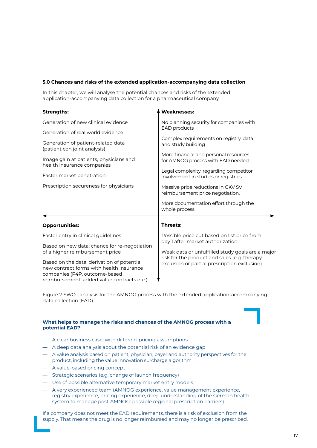# **5.0 Chances and risks of the extended application-accompanying data collection**

In this chapter, we will analyse the potential chances and risks of the extended application-accompanying data collection for a pharmaceutical company.

| <b>Strengths:</b>                                                                                                                                                                        | <b>Weaknesses:</b>                                                                                                                                                                                           |  |
|------------------------------------------------------------------------------------------------------------------------------------------------------------------------------------------|--------------------------------------------------------------------------------------------------------------------------------------------------------------------------------------------------------------|--|
| Generation of new clinical evidence<br>Generation of real world evidence<br>Generation of patient-related data<br>(patient con joint analysis)<br>Image gain at patients, physicians and | No planning security for companies with<br><b>EAD</b> products<br>Complex requirements on registry, data<br>and study building<br>More financial and personal resources<br>for AMNOG process with EAD needed |  |
| health insurance companies                                                                                                                                                               | Legal complexity, regarding competitor                                                                                                                                                                       |  |
| Faster market penetration                                                                                                                                                                | involvement in studies or registries                                                                                                                                                                         |  |
| Prescription secureness for physicians                                                                                                                                                   | Massive price reductions in GKV SV<br>reimbursement price negotiation.<br>More documentation effort through the<br>whole process                                                                             |  |
| <b>Opportunities:</b>                                                                                                                                                                    | <b>Threats:</b>                                                                                                                                                                                              |  |
| Faster entry in clinical guidelines                                                                                                                                                      | Possible price cut based on list price from<br>day 1 after market authorization                                                                                                                              |  |
| Based on new data; chance for re-negotiation<br>of a higher reimbursement price                                                                                                          | Weak data or unfulfilled study goals are a major<br>risk for the product and sales (e.g. therapy<br>exclusion or partial prescription exclusion)                                                             |  |
| Based on the data, derivation of potential<br>new contract forms with health insurance<br>companies (P4P, outcome-based<br>reimbursement, added value contracts etc.)                    |                                                                                                                                                                                                              |  |

Figure 7 SWOT analysis for the AMNOG process with the extended application-accompanying data collection (EAD)

## **What helps to manage the risks and chances of the AMNOG process with a potential EAD?**

- A clear business case, with different pricing assumptions
- A deep data analysis about the potential risk of an evidence gap
- A value analysis based on patient, physician, payer and authority perspectives for the product, including the value innovation surcharge algorithm
- A value-based pricing concept
- Strategic scenarios (e.g. change of launch frequency)
- Use of possible alternative temporary market entry models
- A very experienced team (AMNOG experience, value management experience, registry experience, pricing experience, deep understanding of the German health system to manage post-AMNOG: possible regional prescription barriers)

If a company does not meet the EAD requirements, there is a risk of exclusion from the supply. That means the drug is no longer reimbursed and may no longer be prescribed.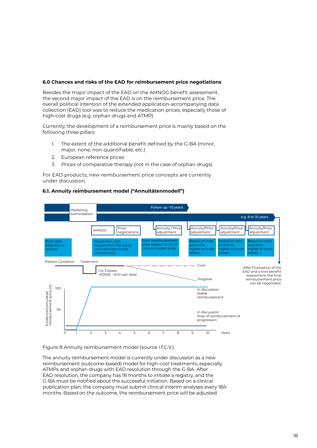## **6.0 Chances and risks of the EAD for reimbursement price negotiations**

Besides the major impact of the EAD on the AMNOG benefit assessment, the second major impact of the EAD is on the reimbursement price. The overall political intention of the extended application-accompanying data collection (EAD) tool was to reduce the medication prices, especially those of high-cost drugs (e.g. orphan drugs and ATMP).

Currently, the development of a reimbursement price is mainly based on the following three pillars:

- 1. The extent of the additional benefit defined by the G-BA (minor, major, none, non-quantifiable, etc.)
- 2. European reference prices
- 3. Prices of comparative therapy (not in the case of orphan drugs)

For EAD products, new reimbursement price concepts are currently under discussion.



## **6.1. Annuity reimbursement model ("Annuitätenmodell")**

#### Figure 8 Annuity reimbursement model (source I.f.G.V.)

The annuity reimbursement model is currently under discussion as a new reimbursement (outcome-based) model for high-cost treatments, especially ATMPs and orphan drugs with EAD resolution through the G-BA. After EAD resolution, the company has 18 months to initiate a registry, and the G-BA must be notified about the successful initiation. Based on a clinical publication plan, the company must submit clinical interim analyses every 18/x months. Based on the outcome, the reimbursement price will be adjusted.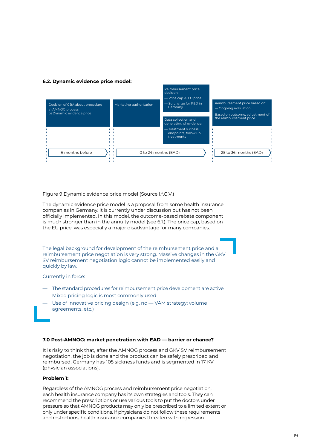## **6.2. Dynamic evidence price model:**

|                                                     |                         | Reimbursement price<br>decision:<br>- Price cap -> EU price |                                                       |
|-----------------------------------------------------|-------------------------|-------------------------------------------------------------|-------------------------------------------------------|
| Decision of GBA about procedure<br>a) AMNOG process | Marketing authorisation | - Surcharge for R&D in<br>Germany                           | Reimbursement price based on:<br>— Ongoing evaluation |
| b) Dynamic evidence price                           |                         |                                                             | Based on outcome, adjustment of                       |
|                                                     |                         | Data collection and<br>generating of evidence:              | the reimbursement price                               |
|                                                     |                         | - Treatment success.<br>endpoints, follow up<br>treatments  |                                                       |
| 6 months before                                     | . .                     | 0 to 24 months (EAD)<br><b>ALC</b>                          | 25 to 36 months (EAD)                                 |

Figure 9 Dynamic evidence price model (Source I.f.G.V.)

The dynamic evidence price model is a proposal from some health insurance companies in Germany. It is currently under discussion but has not been officially implemented. In this model, the outcome-based rebate component is much stronger than in the annuity model (see 6.1.). The price cap, based on the EU price, was especially a major disadvantage for many companies.

The legal background for development of the reimbursement price and a reimbursement price negotiation is very strong. Massive changes in the GKV SV reimbursement negotiation logic cannot be implemented easily and quickly by law.

Currently in force:

- The standard procedures for reimbursement price development are active
- Mixed pricing logic is most commonly used
- Use of innovative pricing design (e.g. no VAM strategy; volume agreements, etc.)

## **7.0 Post-AMNOG: market penetration with EAD — barrier or chance?**

It is risky to think that, after the AMNOG process and GKV SV reimbursement negotiation, the job is done and the product can be safely prescribed and reimbursed. Germany has 105 sickness funds and is segmented in 17 KV (physician associations).

#### **Problem 1:**

Regardless of the AMNOG process and reimbursement price negotiation, each health insurance company has its own strategies and tools. They can recommend the prescriptions or use various tools to put the doctors under pressure so that AMNOG products may only be prescribed to a limited extent or only under specific conditions. If physicians do not follow these requirements and restrictions, health insurance companies threaten with regression.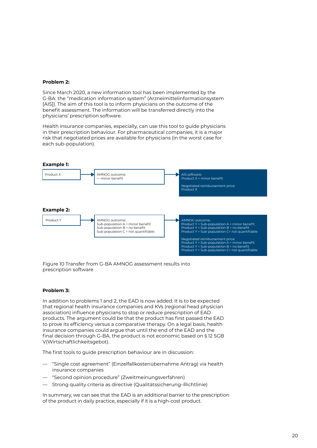## **Problem 2:**

Since March 2020, a new information tool has been implemented by the G-BA: the "medication information system" (Arzneimittelinformationsystem [AIS]). The aim of this tool is to inform physicians on the outcome of the benefit assessment. The information will be transferred directly into the physicians' prescription software.

Health insurance companies, especially, can use this tool to guide physicians in their prescription behaviour. For pharmaceutical companies, it is a major risk that negotiated prices are available for physicians (in the worst case for each sub-population).



Figure 10 Transfer from G-BA AMNOG assessment results into prescription software

## **Problem 3:**

In addition to problems 1 and 2, the EAD is now added. It is to be expected that regional health insurance companies and KVs (regional head physician association) influence physicians to stop or reduce prescription of EAD products. The argument could be that the product has first passed the EAD to prove its efficiency versus a comparative therapy. On a legal basis, health insurance companies could argue that until the end of the EAD and the final decision through G-BA, the product is not economic based on § 12 SGB V(Wirtschaftlichkeitsgebot).

The first tools to guide prescription behaviour are in discussion:

- "Single cost agreement" (Einzelfallkostenübernahme Antrag) via health insurance companies
- "Second opinion procedure" (Zweitmeinungsverfahren)
- Strong quality criteria as directive (Qualitätssicherung–Richtlinie)

In summary, we can see that the EAD is an additional barrier to the prescription of the product in daily practice, especially if it is a high-cost product.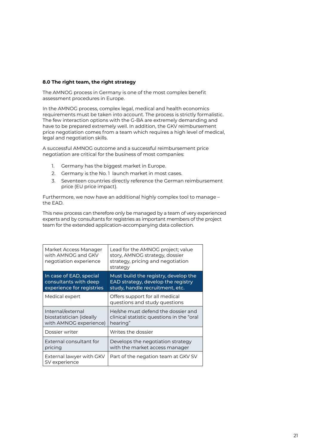# **8.0 The right team, the right strategy**

The AMNOG process in Germany is one of the most complex benefit assessment procedures in Europe.

In the AMNOG process, complex legal, medical and health economics requirements must be taken into account. The process is strictly formalistic. The few interaction options with the G-BA are extremely demanding and have to be prepared extremely well. In addition, the GKV reimbursement price negotiation comes from a team which requires a high level of medical, legal and negotiation skills.

A successful AMNOG outcome and a successful reimbursement price negotiation are critical for the business of most companies:

- 1. Germany has the biggest market in Europe.
- 2. Germany is the No. 1 launch market in most cases.
- 3. Seventeen countries directly reference the German reimbursement price (EU price impact).

Furthermore, we now have an additional highly complex tool to manage – the EAD.

This new process can therefore only be managed by a team of very experienced experts and by consultants for registries as important members of the project team for the extended application-accompanying data collection.

| Market Access Manager<br>with AMNOG and GKV<br>negotiation experience         | Lead for the AMNOG project; value<br>story, AMNOG strategy, dossier<br>strategy, pricing and negotiation<br>strategy |
|-------------------------------------------------------------------------------|----------------------------------------------------------------------------------------------------------------------|
| In case of EAD, special<br>consultants with deep<br>experience for registries | Must build the registry, develop the<br>EAD strategy, develop the registry<br>study, handle recruitment, etc.        |
| Medical expert                                                                | Offers support for all medical<br>questions and study questions                                                      |
| Internal/external<br>biostatistician (ideally<br>with AMNOG experience)       | He/she must defend the dossier and<br>clinical statistic questions in the "oral<br>hearing"                          |
| Dossier writer                                                                | Writes the dossier                                                                                                   |
| External consultant for<br>pricing                                            | Develops the negotiation strategy<br>with the market access manager                                                  |
| External lawyer with GKV<br>SV experience                                     | Part of the negation team at GKV SV                                                                                  |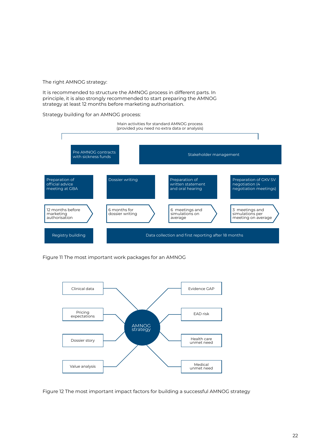The right AMNOG strategy:

It is recommended to structure the AMNOG process in different parts. In principle, it is also strongly recommended to start preparing the AMNOG strategy at least 12 months before marketing authorisation.

## Strategy building for an AMNOG process:



Figure 11 The most important work packages for an AMNOG



Figure 12 The most important impact factors for building a successful AMNOG strategy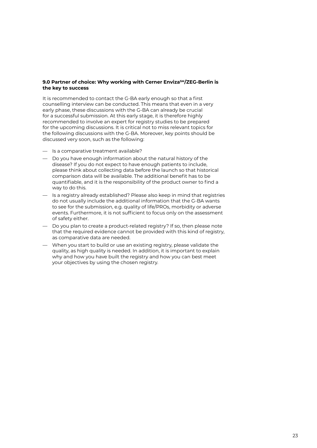# 9.0 Partner of choice: Why working with Cerner Enviza<sup>SM</sup>/ZEG-Berlin is **the key to success**

It is recommended to contact the G-BA early enough so that a first counselling interview can be conducted. This means that even in a very early phase, these discussions with the G-BA can already be crucial for a successful submission. At this early stage, it is therefore highly recommended to involve an expert for registry studies to be prepared for the upcoming discussions. It is critical not to miss relevant topics for the following discussions with the G-BA. Moreover, key points should be discussed very soon, such as the following:

- Is a comparative treatment available?
- Do you have enough information about the natural history of the disease? If you do not expect to have enough patients to include, please think about collecting data before the launch so that historical comparison data will be available. The additional benefit has to be quantifiable, and it is the responsibility of the product owner to find a way to do this.
- Is a registry already established? Please also keep in mind that registries do not usually include the additional information that the G-BA wants to see for the submission, e.g. quality of life/PROs, morbidity or adverse events. Furthermore, it is not sufficient to focus only on the assessment of safety either.
- Do you plan to create a product-related registry? If so, then please note that the required evidence cannot be provided with this kind of registry, as comparative data are needed.
- When you start to build or use an existing registry, please validate the quality, as high quality is needed. In addition, it is important to explain why and how you have built the registry and how you can best meet your objectives by using the chosen registry.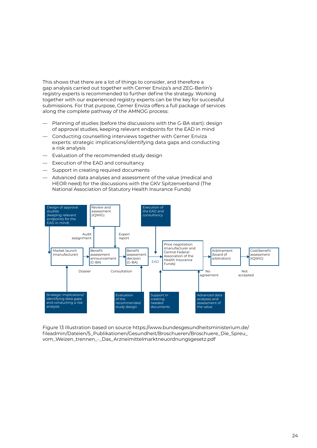This shows that there are a lot of things to consider, and therefore a gap analysis carried out together with Cerner Enviza's and ZEG-Berlin's registry experts is recommended to further define the strategy. Working together with our experienced registry experts can be the key for successful submissions. For that purpose, Cerner Enviza offers a full package of services along the complete pathway of the AMNOG process:

- Planning of studies (before the discussions with the G-BA start): design of approval studies, keeping relevant endpoints for the EAD in mind
- Conducting counselling interviews together with Cerner Enviza experts: strategic implications/identifying data gaps and conducting a risk analysis
- Evaluation of the recommended study design
- Execution of the EAD and consultancy
- Support in creating required documents
- Advanced data analyses and assessment of the value (medical and HEOR need) for the discussions with the GKV Spitzenverband (The National Association of Statutory Health Insurance Funds)



Figure 13 Illustration based on source [https://www.bundesgesundheitsministerium.de/](https://www.bundesgesundheitsministerium.de/fileadmin/Dateien/5_Publikationen/Gesundheit/Broschueren/Broschuere_Die_Spreu_vom_Weizen_trennen_-_Das_Arzneimittelmarktneuordnungsgesetz.pdf) [fileadmin/Dateien/5\\_Publikationen/Gesundheit/Broschueren/Broschuere\\_Die\\_Spreu\\_](https://www.bundesgesundheitsministerium.de/fileadmin/Dateien/5_Publikationen/Gesundheit/Broschueren/Broschuere_Die_Spreu_vom_Weizen_trennen_-_Das_Arzneimittelmarktneuordnungsgesetz.pdf) [vom\\_Weizen\\_trennen\\_-\\_Das\\_Arzneimittelmarktneuordnungsgesetz.pdf](https://www.bundesgesundheitsministerium.de/fileadmin/Dateien/5_Publikationen/Gesundheit/Broschueren/Broschuere_Die_Spreu_vom_Weizen_trennen_-_Das_Arzneimittelmarktneuordnungsgesetz.pdf)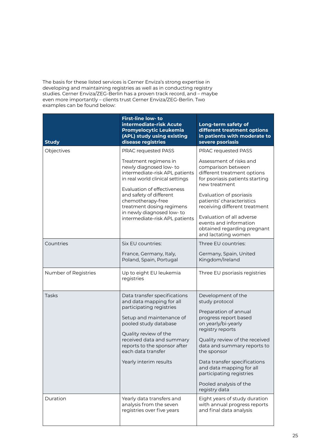The basis for these listed services is Cerner Enviza's strong expertise in developing and maintaining registries as well as in conducting registry studies. Cerner Enviza/ZEG-Berlin has a proven track record, and – maybe even more importantly – clients trust Cerner Enviza/ZEG-Berlin. Two examples can be found below:

| <b>Study</b>         | First-line low- to<br>intermediate-risk Acute<br><b>Promyelocytic Leukemia</b><br>(APL) study using existing<br>disease registries                                                                                                                                              | Long-term safety of<br>different treatment options<br>in patients with moderate to<br>severe psoriasis                                                                                                                                                                                                                                               |
|----------------------|---------------------------------------------------------------------------------------------------------------------------------------------------------------------------------------------------------------------------------------------------------------------------------|------------------------------------------------------------------------------------------------------------------------------------------------------------------------------------------------------------------------------------------------------------------------------------------------------------------------------------------------------|
| Objectives           | PRAC requested PASS                                                                                                                                                                                                                                                             | <b>PRAC requested PASS</b>                                                                                                                                                                                                                                                                                                                           |
|                      | Treatment regimens in<br>newly diagnosed low-to<br>intermediate-risk APL patients<br>in real world clinical settings<br>Evaluation of effectiveness                                                                                                                             | Assessment of risks and<br>comparison between<br>different treatment options<br>for psoriasis patients starting<br>new treatment                                                                                                                                                                                                                     |
|                      | and safety of different<br>chemotherapy-free<br>treatment dosing regimens                                                                                                                                                                                                       | Evaluation of psoriasis<br>patients' characteristics<br>receiving different treatment                                                                                                                                                                                                                                                                |
|                      | in newly diagnosed low- to<br>intermediate-risk APL patients                                                                                                                                                                                                                    | Evaluation of all adverse<br>events and information<br>obtained regarding pregnant<br>and lactating women                                                                                                                                                                                                                                            |
| Countries            | Six EU countries:                                                                                                                                                                                                                                                               | Three EU countries:                                                                                                                                                                                                                                                                                                                                  |
|                      | France, Germany, Italy,<br>Poland, Spain, Portugal                                                                                                                                                                                                                              | Germany, Spain, United<br>Kingdom/Ireland                                                                                                                                                                                                                                                                                                            |
| Number of Registries | Up to eight EU leukemia<br>registries                                                                                                                                                                                                                                           | Three EU psoriasis registries                                                                                                                                                                                                                                                                                                                        |
| Tasks                | Data transfer specifications<br>and data mapping for all<br>participating registries<br>Setup and maintenance of<br>pooled study database<br>Quality review of the<br>received data and summary<br>reports to the sponsor after<br>each data transfer<br>Yearly interim results | Development of the<br>study protocol<br>Preparation of annual<br>progress report based<br>on yearly/bi-yearly<br>registry reports<br>Quality review of the received<br>data and summary reports to<br>the sponsor<br>Data transfer specifications<br>and data mapping for all<br>participating registries<br>Pooled analysis of the<br>registry data |
| Duration             | Yearly data transfers and<br>analysis from the seven<br>registries over five years                                                                                                                                                                                              | Eight years of study duration<br>with annual progress reports<br>and final data analysis                                                                                                                                                                                                                                                             |